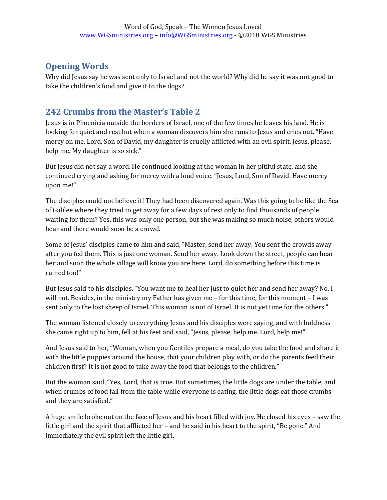## **Opening Words**

Why did Jesus say he was sent only to Israel and not the world? Why did he say it was not good to take the children's food and give it to the dogs?

## **242 Crumbs from the Master's Table 2**

Jesus is in Phoenicia outside the borders of Israel, one of the few times he leaves his land. He is looking for quiet and rest but when a woman discovers him she runs to Jesus and cries out, "Have mercy on me, Lord, Son of David, my daughter is cruelly afflicted with an evil spirit. Jesus, please, help me. My daughter is so sick."

But Jesus did not say a word. He continued looking at the woman in her pitiful state, and she continued crying and asking for mercy with a loud voice. "Jesus, Lord, Son of David. Have mercy upon me!"

The disciples could not believe it! They had been discovered again. Was this going to be like the Sea of Galilee where they tried to get away for a few days of rest only to find thousands of people waiting for them? Yes, this was only one person, but she was making so much noise, others would hear and there would soon be a crowd.

Some of Jesus' disciples came to him and said, "Master, send her away. You sent the crowds away after you fed them. This is just one woman. Send her away. Look down the street, people can hear her and soon the whole village will know you are here. Lord, do something before this time is ruined too!"

But Jesus said to his disciples. "You want me to heal her just to quiet her and send her away? No, I will not. Besides, in the ministry my Father has given me – for this time, for this moment – I was sent only to the lost sheep of Israel. This woman is not of Israel. It is not yet time for the others."

The woman listened closely to everything Jesus and his disciples were saying, and with boldness she came right up to him, fell at his feet and said, "Jesus, please, help me. Lord, help me!"

And Jesus said to her, "Woman, when you Gentiles prepare a meal, do you take the food and share it with the little puppies around the house, that your children play with, or do the parents feed their children first? It is not good to take away the food that belongs to the children."

But the woman said, "Yes, Lord, that is true. But sometimes, the little dogs are under the table, and when crumbs of food fall from the table while everyone is eating, the little dogs eat those crumbs and they are satisfied."

A huge smile broke out on the face of Jesus and his heart filled with joy. He closed his eyes – saw the little girl and the spirit that afflicted her – and he said in his heart to the spirit, "Be gone." And immediately the evil spirit left the little girl.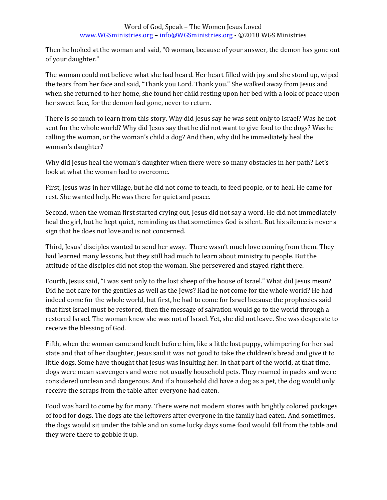Then he looked at the woman and said, "O woman, because of your answer, the demon has gone out of your daughter."

The woman could not believe what she had heard. Her heart filled with joy and she stood up, wiped the tears from her face and said, "Thank you Lord. Thank you." She walked away from Jesus and when she returned to her home, she found her child resting upon her bed with a look of peace upon her sweet face, for the demon had gone, never to return.

There is so much to learn from this story. Why did Jesus say he was sent only to Israel? Was he not sent for the whole world? Why did Jesus say that he did not want to give food to the dogs? Was he calling the woman, or the woman's child a dog? And then, why did he immediately heal the woman's daughter?

Why did Jesus heal the woman's daughter when there were so many obstacles in her path? Let's look at what the woman had to overcome.

First, Jesus was in her village, but he did not come to teach, to feed people, or to heal. He came for rest. She wanted help. He was there for quiet and peace.

Second, when the woman first started crying out, Jesus did not say a word. He did not immediately heal the girl, but he kept quiet, reminding us that sometimes God is silent. But his silence is never a sign that he does not love and is not concerned.

Third, Jesus' disciples wanted to send her away. There wasn't much love coming from them. They had learned many lessons, but they still had much to learn about ministry to people. But the attitude of the disciples did not stop the woman. She persevered and stayed right there.

Fourth, Jesus said, "I was sent only to the lost sheep of the house of Israel." What did Jesus mean? Did he not care for the gentiles as well as the Jews? Had he not come for the whole world? He had indeed come for the whole world, but first, he had to come for Israel because the prophecies said that first Israel must be restored, then the message of salvation would go to the world through a restored Israel. The woman knew she was not of Israel. Yet, she did not leave. She was desperate to receive the blessing of God.

Fifth, when the woman came and knelt before him, like a little lost puppy, whimpering for her sad state and that of her daughter, Jesus said it was not good to take the children's bread and give it to little dogs. Some have thought that Jesus was insulting her. In that part of the world, at that time, dogs were mean scavengers and were not usually household pets. They roamed in packs and were considered unclean and dangerous. And if a household did have a dog as a pet, the dog would only receive the scraps from the table after everyone had eaten.

Food was hard to come by for many. There were not modern stores with brightly colored packages of food for dogs. The dogs ate the leftovers after everyone in the family had eaten. And sometimes, the dogs would sit under the table and on some lucky days some food would fall from the table and they were there to gobble it up.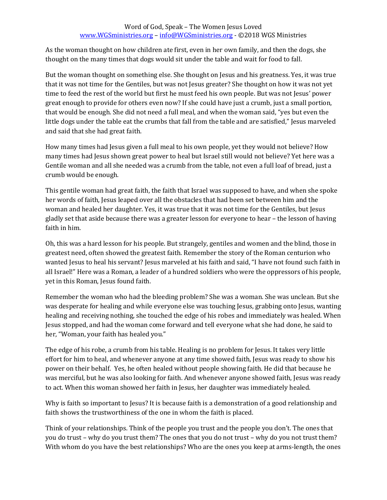## Word of God, Speak – The Women Jesus Loved [www.WGSministries.org](http://www.wgsministries.org/) – [info@WGSministries.org](mailto:info@WGSministries.org) - ©2018 WGS Ministries

As the woman thought on how children ate first, even in her own family, and then the dogs, she thought on the many times that dogs would sit under the table and wait for food to fall.

But the woman thought on something else. She thought on Jesus and his greatness. Yes, it was true that it was not time for the Gentiles, but was not Jesus greater? She thought on how it was not yet time to feed the rest of the world but first he must feed his own people. But was not Jesus' power great enough to provide for others even now? If she could have just a crumb, just a small portion, that would be enough. She did not need a full meal, and when the woman said, "yes but even the little dogs under the table eat the crumbs that fall from the table and are satisfied," Jesus marveled and said that she had great faith.

How many times had Jesus given a full meal to his own people, yet they would not believe? How many times had Jesus shown great power to heal but Israel still would not believe? Yet here was a Gentile woman and all she needed was a crumb from the table, not even a full loaf of bread, just a crumb would be enough.

This gentile woman had great faith, the faith that Israel was supposed to have, and when she spoke her words of faith, Jesus leaped over all the obstacles that had been set between him and the woman and healed her daughter. Yes, it was true that it was not time for the Gentiles, but Jesus gladly set that aside because there was a greater lesson for everyone to hear – the lesson of having faith in him.

Oh, this was a hard lesson for his people. But strangely, gentiles and women and the blind, those in greatest need, often showed the greatest faith. Remember the story of the Roman centurion who wanted Jesus to heal his servant? Jesus marveled at his faith and said, "I have not found such faith in all Israel!" Here was a Roman, a leader of a hundred soldiers who were the oppressors of his people, yet in this Roman, Jesus found faith.

Remember the woman who had the bleeding problem? She was a woman. She was unclean. But she was desperate for healing and while everyone else was touching Jesus, grabbing onto Jesus, wanting healing and receiving nothing, she touched the edge of his robes and immediately was healed. When Jesus stopped, and had the woman come forward and tell everyone what she had done, he said to her, "Woman, your faith has healed you."

The edge of his robe, a crumb from his table. Healing is no problem for Jesus. It takes very little effort for him to heal, and whenever anyone at any time showed faith, Jesus was ready to show his power on their behalf. Yes, he often healed without people showing faith. He did that because he was merciful, but he was also looking for faith. And whenever anyone showed faith, Jesus was ready to act. When this woman showed her faith in Jesus, her daughter was immediately healed.

Why is faith so important to Jesus? It is because faith is a demonstration of a good relationship and faith shows the trustworthiness of the one in whom the faith is placed.

Think of your relationships. Think of the people you trust and the people you don't. The ones that you do trust – why do you trust them? The ones that you do not trust – why do you not trust them? With whom do you have the best relationships? Who are the ones you keep at arms-length, the ones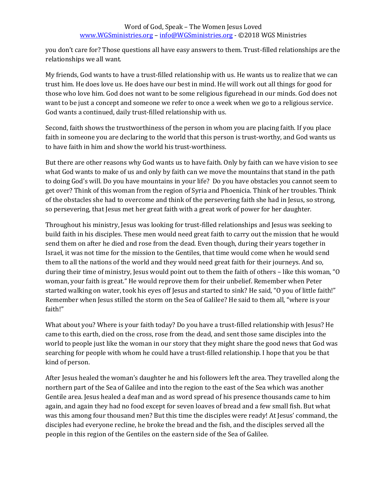you don't care for? Those questions all have easy answers to them. Trust-filled relationships are the relationships we all want.

My friends, God wants to have a trust-filled relationship with us. He wants us to realize that we can trust him. He does love us. He does have our best in mind. He will work out all things for good for those who love him. God does not want to be some religious figurehead in our minds. God does not want to be just a concept and someone we refer to once a week when we go to a religious service. God wants a continued, daily trust-filled relationship with us.

Second, faith shows the trustworthiness of the person in whom you are placing faith. If you place faith in someone you are declaring to the world that this person is trust-worthy, and God wants us to have faith in him and show the world his trust-worthiness.

But there are other reasons why God wants us to have faith. Only by faith can we have vision to see what God wants to make of us and only by faith can we move the mountains that stand in the path to doing God's will. Do you have mountains in your life? Do you have obstacles you cannot seem to get over? Think of this woman from the region of Syria and Phoenicia. Think of her troubles. Think of the obstacles she had to overcome and think of the persevering faith she had in Jesus, so strong, so persevering, that Jesus met her great faith with a great work of power for her daughter.

Throughout his ministry, Jesus was looking for trust-filled relationships and Jesus was seeking to build faith in his disciples. These men would need great faith to carry out the mission that he would send them on after he died and rose from the dead. Even though, during their years together in Israel, it was not time for the mission to the Gentiles, that time would come when he would send them to all the nations of the world and they would need great faith for their journeys. And so, during their time of ministry, Jesus would point out to them the faith of others – like this woman, "O woman, your faith is great." He would reprove them for their unbelief. Remember when Peter started walking on water, took his eyes off Jesus and started to sink? He said, "O you of little faith!" Remember when Jesus stilled the storm on the Sea of Galilee? He said to them all, "where is your faith!"

What about you? Where is your faith today? Do you have a trust-filled relationship with Jesus? He came to this earth, died on the cross, rose from the dead, and sent those same disciples into the world to people just like the woman in our story that they might share the good news that God was searching for people with whom he could have a trust-filled relationship. I hope that you be that kind of person.

After Jesus healed the woman's daughter he and his followers left the area. They travelled along the northern part of the Sea of Galilee and into the region to the east of the Sea which was another Gentile area. Jesus healed a deaf man and as word spread of his presence thousands came to him again, and again they had no food except for seven loaves of bread and a few small fish. But what was this among four thousand men? But this time the disciples were ready! At Jesus' command, the disciples had everyone recline, he broke the bread and the fish, and the disciples served all the people in this region of the Gentiles on the eastern side of the Sea of Galilee.